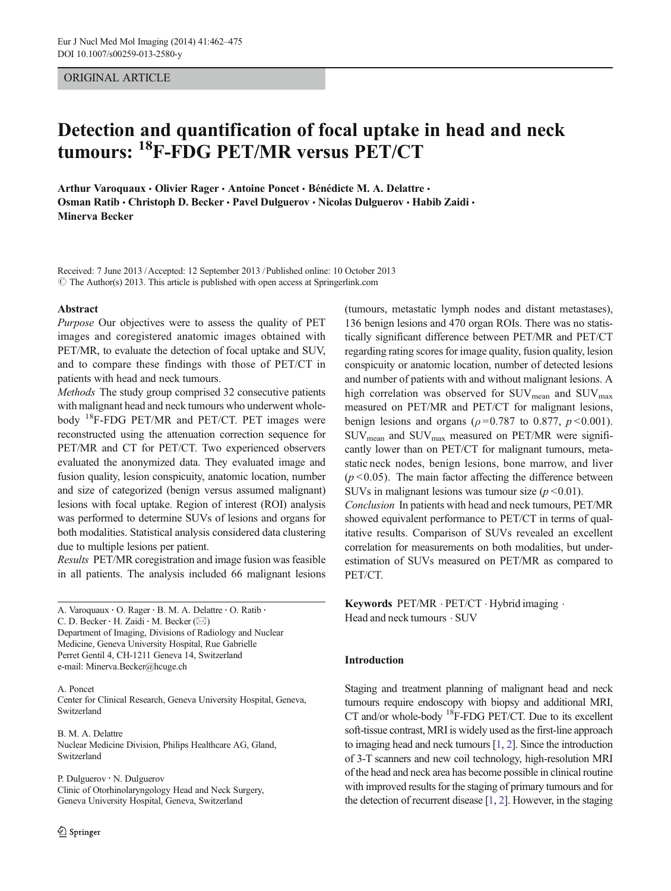## ORIGINAL ARTICLE

# Detection and quantification of focal uptake in head and neck tumours: 18F-FDG PET/MR versus PET/CT

Arthur Varoquaux · Olivier Rager · Antoine Poncet · Bénédicte M. A. Delattre · Osman Ratib · Christoph D. Becker · Pavel Dulguerov · Nicolas Dulguerov · Habib Zaidi · Minerva Becker

Received: 7 June 2013 /Accepted: 12 September 2013 /Published online: 10 October 2013  $\odot$  The Author(s) 2013. This article is published with open access at Springerlink.com

#### Abstract

Purpose Our objectives were to assess the quality of PET images and coregistered anatomic images obtained with PET/MR, to evaluate the detection of focal uptake and SUV, and to compare these findings with those of PET/CT in patients with head and neck tumours.

Methods The study group comprised 32 consecutive patients with malignant head and neck tumours who underwent wholebody 18F-FDG PET/MR and PET/CT. PET images were reconstructed using the attenuation correction sequence for PET/MR and CT for PET/CT. Two experienced observers evaluated the anonymized data. They evaluated image and fusion quality, lesion conspicuity, anatomic location, number and size of categorized (benign versus assumed malignant) lesions with focal uptake. Region of interest (ROI) analysis was performed to determine SUVs of lesions and organs for both modalities. Statistical analysis considered data clustering due to multiple lesions per patient.

Results PET/MR coregistration and image fusion was feasible in all patients. The analysis included 66 malignant lesions

A. Varoquaux : O. Rager : B. M. A. Delattre : O. Ratib : C. D. Becker  $\cdot$  H. Zaidi  $\cdot$  M. Becker ( $\boxtimes$ ) Department of Imaging, Divisions of Radiology and Nuclear Medicine, Geneva University Hospital, Rue Gabrielle Perret Gentil 4, CH-1211 Geneva 14, Switzerland e-mail: Minerva.Becker@hcuge.ch

#### A. Poncet

Center for Clinical Research, Geneva University Hospital, Geneva, Switzerland

B. M. A. Delattre Nuclear Medicine Division, Philips Healthcare AG, Gland, Switzerland

P. Dulguerov : N. Dulguerov

Clinic of Otorhinolaryngology Head and Neck Surgery, Geneva University Hospital, Geneva, Switzerland

(tumours, metastatic lymph nodes and distant metastases), 136 benign lesions and 470 organ ROIs. There was no statistically significant difference between PET/MR and PET/CT regarding rating scores for image quality, fusion quality, lesion conspicuity or anatomic location, number of detected lesions and number of patients with and without malignant lesions. A high correlation was observed for SUV<sub>mean</sub> and SUV<sub>max</sub> measured on PET/MR and PET/CT for malignant lesions, benign lesions and organs ( $\rho$ =0.787 to 0.877,  $p$  <0.001).  $\text{SUV}_{\text{mean}}$  and  $\text{SUV}_{\text{max}}$  measured on PET/MR were significantly lower than on PET/CT for malignant tumours, metastatic neck nodes, benign lesions, bone marrow, and liver  $(p<0.05)$ . The main factor affecting the difference between SUVs in malignant lesions was tumour size  $(p<0.01)$ . Conclusion In patients with head and neck tumours, PET/MR showed equivalent performance to PET/CT in terms of qual-

itative results. Comparison of SUVs revealed an excellent correlation for measurements on both modalities, but underestimation of SUVs measured on PET/MR as compared to PET/CT.

Keywords PET/MR · PET/CT · Hybrid imaging · Head and neck tumours  $\cdot$  SUV

## Introduction

Staging and treatment planning of malignant head and neck tumours require endoscopy with biopsy and additional MRI, CT and/or whole-body 18F-FDG PET/CT. Due to its excellent soft-tissue contrast, MRI is widely used as the first-line approach to imaging head and neck tumours [[1](#page-12-0), [2\]](#page-12-0). Since the introduction of 3-T scanners and new coil technology, high-resolution MRI of the head and neck area has become possible in clinical routine with improved results for the staging of primary tumours and for the detection of recurrent disease [[1](#page-12-0), [2\]](#page-12-0). However, in the staging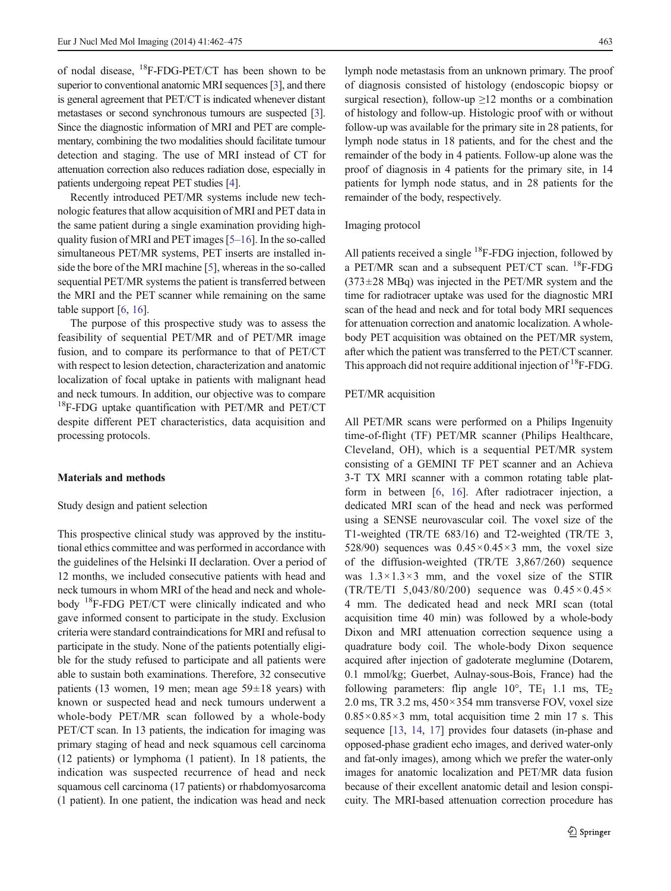of nodal disease,  $^{18}$ F-FDG-PET/CT has been shown to be superior to conventional anatomic MRI sequences [[3](#page-12-0)], and there is general agreement that PET/CT is indicated whenever distant metastases or second synchronous tumours are suspected [\[3\]](#page-12-0). Since the diagnostic information of MRI and PET are complementary, combining the two modalities should facilitate tumour detection and staging. The use of MRI instead of CT for attenuation correction also reduces radiation dose, especially in patients undergoing repeat PET studies [[4](#page-12-0)].

Recently introduced PET/MR systems include new technologic features that allow acquisition of MRI and PET data in the same patient during a single examination providing highquality fusion of MRI and PET images [[5](#page-12-0)–[16](#page-13-0)]. In the so-called simultaneous PET/MR systems, PET inserts are installed inside the bore of the MRI machine [[5](#page-12-0)], whereas in the so-called sequential PET/MR systems the patient is transferred between the MRI and the PET scanner while remaining on the same table support [\[6](#page-13-0), [16\]](#page-13-0).

The purpose of this prospective study was to assess the feasibility of sequential PET/MR and of PET/MR image fusion, and to compare its performance to that of PET/CT with respect to lesion detection, characterization and anatomic localization of focal uptake in patients with malignant head and neck tumours. In addition, our objective was to compare <sup>18</sup>F-FDG uptake quantification with PET/MR and PET/CT despite different PET characteristics, data acquisition and processing protocols.

### Materials and methods

## Study design and patient selection

This prospective clinical study was approved by the institutional ethics committee and was performed in accordance with the guidelines of the Helsinki II declaration. Over a period of 12 months, we included consecutive patients with head and neck tumours in whom MRI of the head and neck and wholebody 18F-FDG PET/CT were clinically indicated and who gave informed consent to participate in the study. Exclusion criteria were standard contraindications for MRI and refusal to participate in the study. None of the patients potentially eligible for the study refused to participate and all patients were able to sustain both examinations. Therefore, 32 consecutive patients (13 women, 19 men; mean age  $59\pm18$  years) with known or suspected head and neck tumours underwent a whole-body PET/MR scan followed by a whole-body PET/CT scan. In 13 patients, the indication for imaging was primary staging of head and neck squamous cell carcinoma (12 patients) or lymphoma (1 patient). In 18 patients, the indication was suspected recurrence of head and neck squamous cell carcinoma (17 patients) or rhabdomyosarcoma (1 patient). In one patient, the indication was head and neck

lymph node metastasis from an unknown primary. The proof of diagnosis consisted of histology (endoscopic biopsy or surgical resection), follow-up  $\geq$ 12 months or a combination of histology and follow-up. Histologic proof with or without follow-up was available for the primary site in 28 patients, for lymph node status in 18 patients, and for the chest and the remainder of the body in 4 patients. Follow-up alone was the proof of diagnosis in 4 patients for the primary site, in 14 patients for lymph node status, and in 28 patients for the remainder of the body, respectively.

## Imaging protocol

All patients received a single  ${}^{18}$ F-FDG injection, followed by a PET/MR scan and a subsequent PET/CT scan.  ${}^{18}F$ -FDG  $(373\pm28 \text{ MB})$  was injected in the PET/MR system and the time for radiotracer uptake was used for the diagnostic MRI scan of the head and neck and for total body MRI sequences for attenuation correction and anatomic localization. A wholebody PET acquisition was obtained on the PET/MR system, after which the patient was transferred to the PET/CT scanner. This approach did not require additional injection of <sup>18</sup>F-FDG.

#### PET/MR acquisition

All PET/MR scans were performed on a Philips Ingenuity time-of-flight (TF) PET/MR scanner (Philips Healthcare, Cleveland, OH), which is a sequential PET/MR system consisting of a GEMINI TF PET scanner and an Achieva 3-T TX MRI scanner with a common rotating table platform in between [[6,](#page-13-0) [16](#page-13-0)]. After radiotracer injection, a dedicated MRI scan of the head and neck was performed using a SENSE neurovascular coil. The voxel size of the T1-weighted (TR/TE 683/16) and T2-weighted (TR/TE 3, 528/90) sequences was  $0.45 \times 0.45 \times 3$  mm, the voxel size of the diffusion-weighted (TR/TE 3,867/260) sequence was  $1.3 \times 1.3 \times 3$  mm, and the voxel size of the STIR (TR/TE/TI 5,043/80/200) sequence was  $0.45 \times 0.45 \times$ 4 mm. The dedicated head and neck MRI scan (total acquisition time 40 min) was followed by a whole-body Dixon and MRI attenuation correction sequence using a quadrature body coil. The whole-body Dixon sequence acquired after injection of gadoterate meglumine (Dotarem, 0.1 mmol/kg; Guerbet, Aulnay-sous-Bois, France) had the following parameters: flip angle  $10^{\circ}$ , TE<sub>1</sub> 1.1 ms, TE<sub>2</sub> 2.0 ms, TR 3.2 ms,  $450 \times 354$  mm transverse FOV, voxel size  $0.85 \times 0.85 \times 3$  mm, total acquisition time 2 min 17 s. This sequence [[13,](#page-13-0) [14,](#page-13-0) [17](#page-13-0)] provides four datasets (in-phase and opposed-phase gradient echo images, and derived water-only and fat-only images), among which we prefer the water-only images for anatomic localization and PET/MR data fusion because of their excellent anatomic detail and lesion conspicuity. The MRI-based attenuation correction procedure has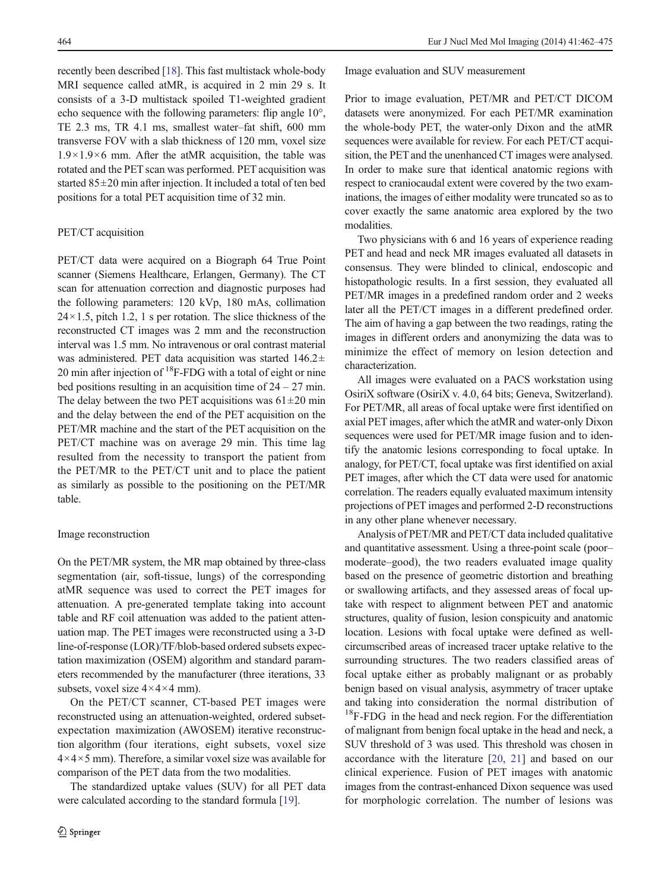recently been described [\[18\]](#page-13-0). This fast multistack whole-body MRI sequence called atMR, is acquired in 2 min 29 s. It consists of a 3-D multistack spoiled T1-weighted gradient echo sequence with the following parameters: flip angle 10°, TE 2.3 ms, TR 4.1 ms, smallest water–fat shift, 600 mm transverse FOV with a slab thickness of 120 mm, voxel size  $1.9 \times 1.9 \times 6$  mm. After the atMR acquisition, the table was rotated and the PET scan was performed. PET acquisition was started 85±20 min after injection. It included a total of ten bed positions for a total PET acquisition time of 32 min.

## PET/CT acquisition

PET/CT data were acquired on a Biograph 64 True Point scanner (Siemens Healthcare, Erlangen, Germany). The CT scan for attenuation correction and diagnostic purposes had the following parameters: 120 kVp, 180 mAs, collimation  $24 \times 1.5$ , pitch 1.2, 1 s per rotation. The slice thickness of the reconstructed CT images was 2 mm and the reconstruction interval was 1.5 mm. No intravenous or oral contrast material was administered. PET data acquisition was started  $146.2\pm$ 20 min after injection of  $^{18}$ F-FDG with a total of eight or nine bed positions resulting in an acquisition time of  $24 - 27$  min. The delay between the two PET acquisitions was  $61 \pm 20$  min and the delay between the end of the PET acquisition on the PET/MR machine and the start of the PET acquisition on the PET/CT machine was on average 29 min. This time lag resulted from the necessity to transport the patient from the PET/MR to the PET/CT unit and to place the patient as similarly as possible to the positioning on the PET/MR table.

#### Image reconstruction

On the PET/MR system, the MR map obtained by three-class segmentation (air, soft-tissue, lungs) of the corresponding atMR sequence was used to correct the PET images for attenuation. A pre-generated template taking into account table and RF coil attenuation was added to the patient attenuation map. The PET images were reconstructed using a 3-D line-of-response (LOR)/TF/blob-based ordered subsets expectation maximization (OSEM) algorithm and standard parameters recommended by the manufacturer (three iterations, 33 subsets, voxel size  $4 \times 4 \times 4$  mm).

On the PET/CT scanner, CT-based PET images were reconstructed using an attenuation-weighted, ordered subsetexpectation maximization (AWOSEM) iterative reconstruction algorithm (four iterations, eight subsets, voxel size  $4\times4\times5$  mm). Therefore, a similar voxel size was available for comparison of the PET data from the two modalities.

The standardized uptake values (SUV) for all PET data were calculated according to the standard formula [\[19\]](#page-13-0).

Image evaluation and SUV measurement

Prior to image evaluation, PET/MR and PET/CT DICOM datasets were anonymized. For each PET/MR examination the whole-body PET, the water-only Dixon and the atMR sequences were available for review. For each PET/CT acquisition, the PET and the unenhanced CT images were analysed. In order to make sure that identical anatomic regions with respect to craniocaudal extent were covered by the two examinations, the images of either modality were truncated so as to cover exactly the same anatomic area explored by the two modalities.

Two physicians with 6 and 16 years of experience reading PET and head and neck MR images evaluated all datasets in consensus. They were blinded to clinical, endoscopic and histopathologic results. In a first session, they evaluated all PET/MR images in a predefined random order and 2 weeks later all the PET/CT images in a different predefined order. The aim of having a gap between the two readings, rating the images in different orders and anonymizing the data was to minimize the effect of memory on lesion detection and characterization.

All images were evaluated on a PACS workstation using OsiriX software (OsiriX v. 4.0, 64 bits; Geneva, Switzerland). For PET/MR, all areas of focal uptake were first identified on axial PET images, after which the atMR and water-only Dixon sequences were used for PET/MR image fusion and to identify the anatomic lesions corresponding to focal uptake. In analogy, for PET/CT, focal uptake was first identified on axial PET images, after which the CT data were used for anatomic correlation. The readers equally evaluated maximum intensity projections of PET images and performed 2-D reconstructions in any other plane whenever necessary.

Analysis of PET/MR and PET/CT data included qualitative and quantitative assessment. Using a three-point scale (poor– moderate–good), the two readers evaluated image quality based on the presence of geometric distortion and breathing or swallowing artifacts, and they assessed areas of focal uptake with respect to alignment between PET and anatomic structures, quality of fusion, lesion conspicuity and anatomic location. Lesions with focal uptake were defined as wellcircumscribed areas of increased tracer uptake relative to the surrounding structures. The two readers classified areas of focal uptake either as probably malignant or as probably benign based on visual analysis, asymmetry of tracer uptake and taking into consideration the normal distribution of <sup>18</sup>F-FDG in the head and neck region. For the differentiation of malignant from benign focal uptake in the head and neck, a SUV threshold of 3 was used. This threshold was chosen in accordance with the literature [[20,](#page-13-0) [21](#page-13-0)] and based on our clinical experience. Fusion of PET images with anatomic images from the contrast-enhanced Dixon sequence was used for morphologic correlation. The number of lesions was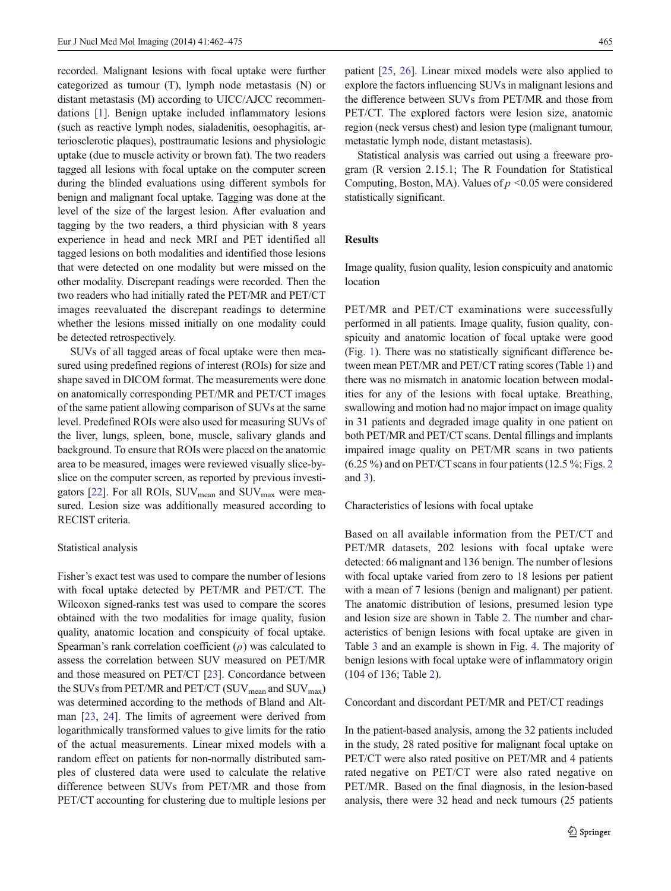recorded. Malignant lesions with focal uptake were further categorized as tumour (T), lymph node metastasis (N) or distant metastasis (M) according to UICC/AJCC recommendations [\[1](#page-12-0)]. Benign uptake included inflammatory lesions (such as reactive lymph nodes, sialadenitis, oesophagitis, arteriosclerotic plaques), posttraumatic lesions and physiologic uptake (due to muscle activity or brown fat). The two readers tagged all lesions with focal uptake on the computer screen during the blinded evaluations using different symbols for benign and malignant focal uptake. Tagging was done at the level of the size of the largest lesion. After evaluation and tagging by the two readers, a third physician with 8 years experience in head and neck MRI and PET identified all tagged lesions on both modalities and identified those lesions that were detected on one modality but were missed on the other modality. Discrepant readings were recorded. Then the two readers who had initially rated the PET/MR and PET/CT images reevaluated the discrepant readings to determine whether the lesions missed initially on one modality could be detected retrospectively.

SUVs of all tagged areas of focal uptake were then measured using predefined regions of interest (ROIs) for size and shape saved in DICOM format. The measurements were done on anatomically corresponding PET/MR and PET/CT images of the same patient allowing comparison of SUVs at the same level. Predefined ROIs were also used for measuring SUVs of the liver, lungs, spleen, bone, muscle, salivary glands and background. To ensure that ROIs were placed on the anatomic area to be measured, images were reviewed visually slice-byslice on the computer screen, as reported by previous investi-gators [\[22\]](#page-13-0). For all ROIs,  $\text{SUV}_{\text{mean}}$  and  $\text{SUV}_{\text{max}}$  were measured. Lesion size was additionally measured according to RECIST criteria.

#### Statistical analysis

Fisher's exact test was used to compare the number of lesions with focal uptake detected by PET/MR and PET/CT. The Wilcoxon signed-ranks test was used to compare the scores obtained with the two modalities for image quality, fusion quality, anatomic location and conspicuity of focal uptake. Spearman's rank correlation coefficient  $(\rho)$  was calculated to assess the correlation between SUV measured on PET/MR and those measured on PET/CT [[23\]](#page-13-0). Concordance between the SUVs from PET/MR and PET/CT (SUV<sub>mean</sub> and SUV<sub>max</sub>) was determined according to the methods of Bland and Altman [\[23](#page-13-0), [24\]](#page-13-0). The limits of agreement were derived from logarithmically transformed values to give limits for the ratio of the actual measurements. Linear mixed models with a random effect on patients for non-normally distributed samples of clustered data were used to calculate the relative difference between SUVs from PET/MR and those from PET/CT accounting for clustering due to multiple lesions per

patient [\[25,](#page-13-0) [26\]](#page-13-0). Linear mixed models were also applied to explore the factors influencing SUVs in malignant lesions and the difference between SUVs from PET/MR and those from PET/CT. The explored factors were lesion size, anatomic region (neck versus chest) and lesion type (malignant tumour, metastatic lymph node, distant metastasis).

Statistical analysis was carried out using a freeware program (R version 2.15.1; The R Foundation for Statistical Computing, Boston, MA). Values of  $p \le 0.05$  were considered statistically significant.

# Results

Image quality, fusion quality, lesion conspicuity and anatomic location

PET/MR and PET/CT examinations were successfully performed in all patients. Image quality, fusion quality, conspicuity and anatomic location of focal uptake were good (Fig. [1\)](#page-4-0). There was no statistically significant difference between mean PET/MR and PET/CT rating scores (Table [1\)](#page-4-0) and there was no mismatch in anatomic location between modalities for any of the lesions with focal uptake. Breathing, swallowing and motion had no major impact on image quality in 31 patients and degraded image quality in one patient on both PET/MR and PET/CT scans. Dental fillings and implants impaired image quality on PET/MR scans in two patients (6.25 %) and on PET/CT scans in four patients (12.5 %; Figs. [2](#page-5-0) and [3\)](#page-6-0).

Characteristics of lesions with focal uptake

Based on all available information from the PET/CT and PET/MR datasets, 202 lesions with focal uptake were detected: 66 malignant and 136 benign. The number of lesions with focal uptake varied from zero to 18 lesions per patient with a mean of 7 lesions (benign and malignant) per patient. The anatomic distribution of lesions, presumed lesion type and lesion size are shown in Table [2.](#page-7-0) The number and characteristics of benign lesions with focal uptake are given in Table [3](#page-7-0) and an example is shown in Fig. [4.](#page-8-0) The majority of benign lesions with focal uptake were of inflammatory origin (104 of 136; Table [2](#page-7-0)).

Concordant and discordant PET/MR and PET/CT readings

In the patient-based analysis, among the 32 patients included in the study, 28 rated positive for malignant focal uptake on PET/CT were also rated positive on PET/MR and 4 patients rated negative on PET/CT were also rated negative on PET/MR. Based on the final diagnosis, in the lesion-based analysis, there were 32 head and neck tumours (25 patients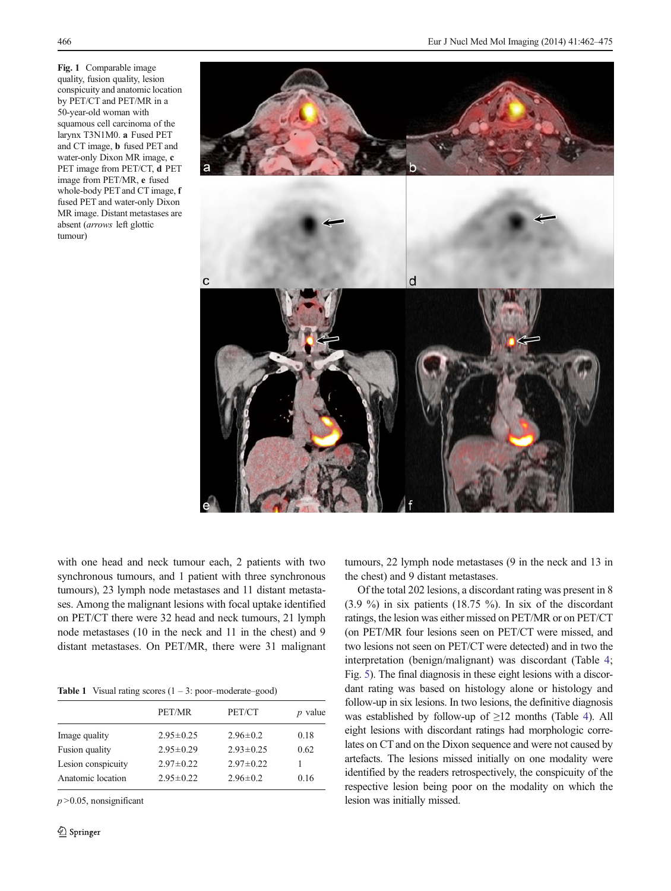<span id="page-4-0"></span>Fig. 1 Comparable image quality, fusion quality, lesion conspicuity and anatomic location by PET/CT and PET/MR in a 50-year-old woman with squamous cell carcinoma of the larynx T3N1M0. a Fused PET and CT image, b fused PET and water-only Dixon MR image, c PET image from PET/CT, d PET image from PET/MR, e fused whole-body PET and CT image, f fused PET and water-only Dixon MR image. Distant metastases are absent (arrows left glottic tumour)



with one head and neck tumour each, 2 patients with two synchronous tumours, and 1 patient with three synchronous tumours), 23 lymph node metastases and 11 distant metastases. Among the malignant lesions with focal uptake identified on PET/CT there were 32 head and neck tumours, 21 lymph node metastases (10 in the neck and 11 in the chest) and 9 distant metastases. On PET/MR, there were 31 malignant

**Table 1** Visual rating scores  $(1 - 3: poor–moderate–good)$ 

|                    | PET/MR          | PET/CT          | value |
|--------------------|-----------------|-----------------|-------|
| Image quality      | $2.95 \pm 0.25$ | $2.96 \pm 0.2$  | 0.18  |
| Fusion quality     | $2.95 \pm 0.29$ | $2.93 \pm 0.25$ | 0.62  |
| Lesion conspicuity | $2.97 \pm 0.22$ | $2.97 \pm 0.22$ |       |
| Anatomic location  | $2.95 \pm 0.22$ | $2.96 \pm 0.2$  | 0.16  |

 $p > 0.05$ , nonsignificant

tumours, 22 lymph node metastases (9 in the neck and 13 in the chest) and 9 distant metastases.

Of the total 202 lesions, a discordant rating was present in 8 (3.9 %) in six patients (18.75 %). In six of the discordant ratings, the lesion was either missed on PET/MR or on PET/CT (on PET/MR four lesions seen on PET/CT were missed, and two lesions not seen on PET/CT were detected) and in two the interpretation (benign/malignant) was discordant (Table [4;](#page-8-0) Fig. [5](#page-9-0)). The final diagnosis in these eight lesions with a discordant rating was based on histology alone or histology and follow-up in six lesions. In two lesions, the definitive diagnosis was established by follow-up of ≥12 months (Table [4\)](#page-8-0). All eight lesions with discordant ratings had morphologic correlates on CT and on the Dixon sequence and were not caused by artefacts. The lesions missed initially on one modality were identified by the readers retrospectively, the conspicuity of the respective lesion being poor on the modality on which the lesion was initially missed.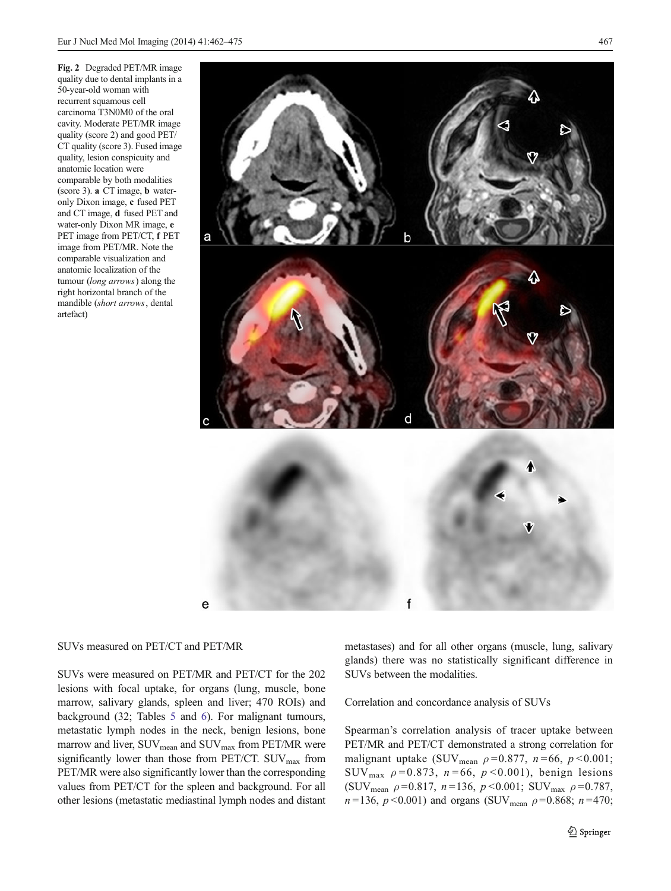<span id="page-5-0"></span>Fig. 2 Degraded PET/MR image quality due to dental implants in a 50-year-old woman with recurrent squamous cell carcinoma T3N0M0 of the oral cavity. Moderate PET/MR image quality (score 2) and good PET/ CT quality (score 3). Fused image quality, lesion conspicuity and anatomic location were comparable by both modalities (score 3). a CT image, b wateronly Dixon image, c fused PET and CT image, d fused PET and water-only Dixon MR image, e PET image from PET/CT, f PET image from PET/MR. Note the comparable visualization and anatomic localization of the tumour (long arrows) along the right horizontal branch of the mandible (short arrows, dental artefact)



### SUVs measured on PET/CT and PET/MR

SUVs were measured on PET/MR and PET/CT for the 202 lesions with focal uptake, for organs (lung, muscle, bone marrow, salivary glands, spleen and liver; 470 ROIs) and background (32; Tables [5](#page-9-0) and [6\)](#page-10-0). For malignant tumours, metastatic lymph nodes in the neck, benign lesions, bone marrow and liver,  $\text{SUV}_{\text{mean}}$  and  $\text{SUV}_{\text{max}}$  from PET/MR were significantly lower than those from PET/CT.  $\text{SUV}_{\text{max}}$  from PET/MR were also significantly lower than the corresponding values from PET/CT for the spleen and background. For all other lesions (metastatic mediastinal lymph nodes and distant metastases) and for all other organs (muscle, lung, salivary glands) there was no statistically significant difference in SUVs between the modalities.

Correlation and concordance analysis of SUVs

Spearman's correlation analysis of tracer uptake between PET/MR and PET/CT demonstrated a strong correlation for malignant uptake (SUV<sub>mean</sub>  $\rho = 0.877$ ,  $n = 66$ ,  $p < 0.001$ ; SUV<sub>max</sub>  $\rho = 0.873$ ,  $n = 66$ ,  $p < 0.001$ ), benign lesions (SUV<sub>mean</sub>  $\rho = 0.817$ ,  $n = 136$ ,  $p < 0.001$ ; SUV<sub>max</sub>  $\rho = 0.787$ ,  $n = 136$ ,  $p < 0.001$ ) and organs (SUV<sub>mean</sub>  $\rho = 0.868$ ;  $n = 470$ ;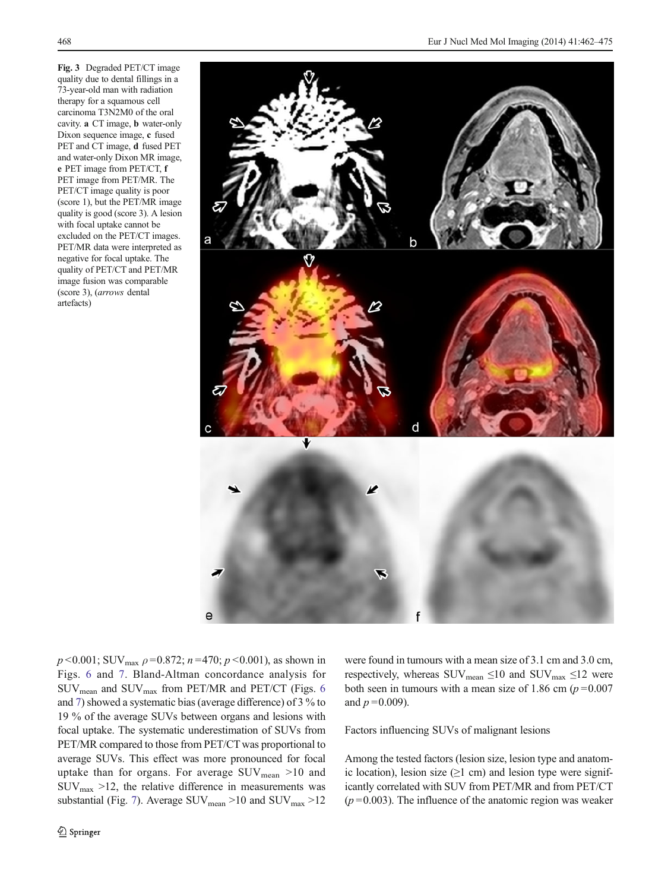<span id="page-6-0"></span>Fig. 3 Degraded PET/CT image quality due to dental fillings in a 73-year-old man with radiation therapy for a squamous cell carcinoma T3N2M0 of the oral cavity. a CT image, b water-only Dixon sequence image, c fused PET and CT image, d fused PET and water-only Dixon MR image, e PET image from PET/CT, f PET image from PET/MR. The PET/CT image quality is poor (score 1), but the PET/MR image quality is good (score 3). A lesion with focal uptake cannot be excluded on the PET/CT images. PET/MR data were interpreted as negative for focal uptake. The quality of PET/CT and PET/MR image fusion was comparable (score 3), (arrows dental artefacts)



 $p \le 0.001$ ; SUV<sub>max</sub>  $\rho = 0.872$ ;  $n = 470$ ;  $p \le 0.001$ ), as shown in Figs. [6](#page-10-0) and [7.](#page-11-0) Bland-Altman concordance analysis for SUVmean and SUVmax from PET/MR and PET/CT (Figs. [6](#page-10-0) and [7](#page-11-0)) showed a systematic bias (average difference) of 3 % to 19 % of the average SUVs between organs and lesions with focal uptake. The systematic underestimation of SUVs from PET/MR compared to those from PET/CT was proportional to average SUVs. This effect was more pronounced for focal uptake than for organs. For average  $\text{SUV}_{\text{mean}}$  >10 and  $\text{SUV}_{\text{max}}$  >12, the relative difference in measurements was substantial (Fig. [7](#page-11-0)). Average  $\text{SUV}_{\text{mean}}$  >10 and  $\text{SUV}_{\text{max}}$  >12 were found in tumours with a mean size of 3.1 cm and 3.0 cm, respectively, whereas  $\text{SUV}_{\text{mean}} \leq 10$  and  $\text{SUV}_{\text{max}} \leq 12$  were both seen in tumours with a mean size of 1.86 cm ( $p = 0.007$ ) and  $p = 0.009$ ).

Factors influencing SUVs of malignant lesions

Among the tested factors (lesion size, lesion type and anatomic location), lesion size  $(≥1$  cm) and lesion type were significantly correlated with SUV from PET/MR and from PET/CT  $(p=0.003)$ . The influence of the anatomic region was weaker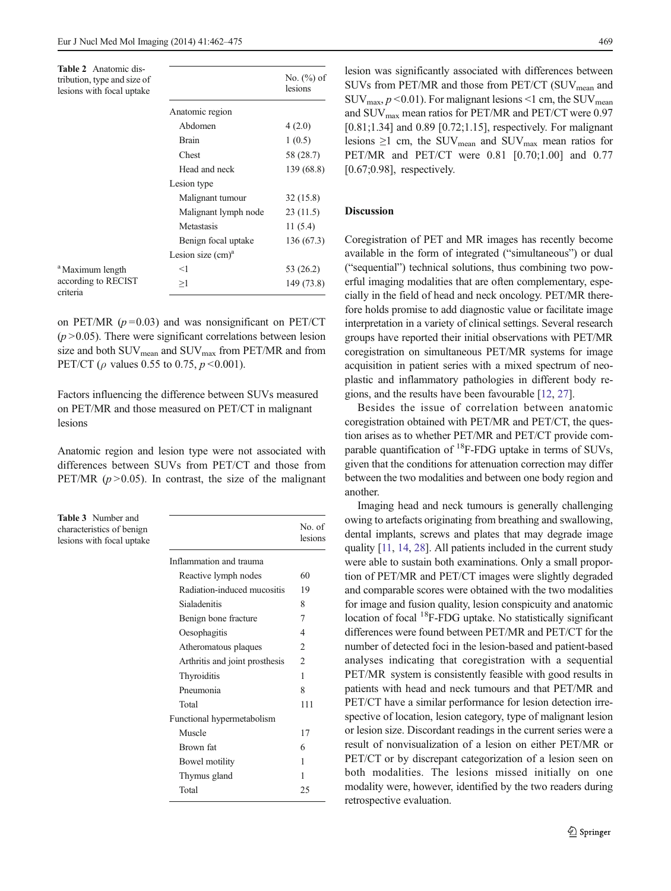<span id="page-7-0"></span>Table 2 Anatomic distribution, type and lesions with focal

Table 3 Number characteristics lesions with fo

| tribution, type and size of<br>lesions with focal uptake |                      | No. $(\%)$ of<br>lesions |
|----------------------------------------------------------|----------------------|--------------------------|
|                                                          | Anatomic region      |                          |
|                                                          | Abdomen              | 4(2.0)                   |
|                                                          | <b>Brain</b>         | 1(0.5)                   |
|                                                          | Chest                | 58 (28.7)                |
|                                                          | Head and neck        | 139 (68.8)               |
|                                                          | Lesion type          |                          |
|                                                          | Malignant tumour     | 32(15.8)                 |
|                                                          | Malignant lymph node | 23(11.5)                 |
|                                                          | Metastasis           | 11 $(5.4)$               |
|                                                          | Benign focal uptake  | 136 (67.3)               |
|                                                          | Lesion size $(cm)^a$ |                          |
| <sup>a</sup> Maximum length                              | $<$ 1                | 53 (26.2)                |
| according to RECIST<br>criteria                          | $\geq$ 1             | 149 (73.8)               |

on PET/MR  $(p=0.03)$  and was nonsignificant on PET/CT  $(p > 0.05)$ . There were significant correlations between lesion size and both  $\text{SUV}_{\text{mean}}$  and  $\text{SUV}_{\text{max}}$  from  $\text{PET/MR}$  and from PET/CT ( $\rho$  values 0.55 to 0.75,  $p \le 0.001$ ).

Factors influencing the difference between SUVs measured on PET/MR and those measured on PET/CT in malignant lesions

Anatomic region and lesion type were not associated with differences between SUVs from PET/CT and those from PET/MR  $(p > 0.05)$ . In contrast, the size of the malignant

| ber and<br>of benign<br>cal uptake |                                | No. of<br>lesions |  |  |  |  |  |
|------------------------------------|--------------------------------|-------------------|--|--|--|--|--|
|                                    | Inflammation and trauma        |                   |  |  |  |  |  |
|                                    | Reactive lymph nodes           | 60                |  |  |  |  |  |
|                                    | Radiation-induced mucositis    | 19                |  |  |  |  |  |
|                                    | Sialadenitis                   | 8                 |  |  |  |  |  |
|                                    | Benign bone fracture           | 7                 |  |  |  |  |  |
|                                    | Oesophagitis                   | 4                 |  |  |  |  |  |
|                                    | Atheromatous plaques           | $\mathfrak{D}$    |  |  |  |  |  |
|                                    | Arthritis and joint prosthesis | $\overline{2}$    |  |  |  |  |  |
|                                    | Thyroiditis                    | 1                 |  |  |  |  |  |
|                                    | Pneumonia                      | 8                 |  |  |  |  |  |
|                                    | Total                          | 111               |  |  |  |  |  |
|                                    | Functional hypermetabolism     |                   |  |  |  |  |  |
|                                    | Muscle                         | 17                |  |  |  |  |  |
|                                    | Brown fat                      | 6                 |  |  |  |  |  |
|                                    | Bowel motility                 | 1                 |  |  |  |  |  |
|                                    | Thymus gland                   | 1                 |  |  |  |  |  |
|                                    | Total                          | 25                |  |  |  |  |  |

lesion was significantly associated with differences between SUVs from PET/MR and those from PET/CT  $(SUV_{mean}$  and  $\text{SUV}_{\text{max}}$ ,  $p < 0.01$ ). For malignant lesions <1 cm, the  $\text{SUV}_{\text{mean}}$ and SUV<sub>max</sub> mean ratios for PET/MR and PET/CT were 0.97 [0.81;1.34] and 0.89 [0.72;1.15], respectively. For malignant lesions  $\geq 1$  cm, the SUV<sub>mean</sub> and SUV<sub>max</sub> mean ratios for PET/MR and PET/CT were 0.81 [0.70;1.00] and 0.77 [0.67;0.98], respectively.

# **Discussion**

Coregistration of PET and MR images has recently become available in the form of integrated ("simultaneous") or dual ("sequential") technical solutions, thus combining two powerful imaging modalities that are often complementary, especially in the field of head and neck oncology. PET/MR therefore holds promise to add diagnostic value or facilitate image interpretation in a variety of clinical settings. Several research groups have reported their initial observations with PET/MR coregistration on simultaneous PET/MR systems for image acquisition in patient series with a mixed spectrum of neoplastic and inflammatory pathologies in different body regions, and the results have been favourable [\[12,](#page-13-0) [27\]](#page-13-0).

Besides the issue of correlation between anatomic coregistration obtained with PET/MR and PET/CT, the question arises as to whether PET/MR and PET/CT provide comparable quantification of  $^{18}$ F-FDG uptake in terms of SUVs, given that the conditions for attenuation correction may differ between the two modalities and between one body region and another.

Imaging head and neck tumours is generally challenging owing to artefacts originating from breathing and swallowing, dental implants, screws and plates that may degrade image quality [[11](#page-13-0), [14,](#page-13-0) [28\]](#page-13-0). All patients included in the current study were able to sustain both examinations. Only a small proportion of PET/MR and PET/CT images were slightly degraded and comparable scores were obtained with the two modalities for image and fusion quality, lesion conspicuity and anatomic location of focal 18F-FDG uptake. No statistically significant differences were found between PET/MR and PET/CT for the number of detected foci in the lesion-based and patient-based analyses indicating that coregistration with a sequential PET/MR system is consistently feasible with good results in patients with head and neck tumours and that PET/MR and PET/CT have a similar performance for lesion detection irrespective of location, lesion category, type of malignant lesion or lesion size. Discordant readings in the current series were a result of nonvisualization of a lesion on either PET/MR or PET/CT or by discrepant categorization of a lesion seen on both modalities. The lesions missed initially on one modality were, however, identified by the two readers during retrospective evaluation.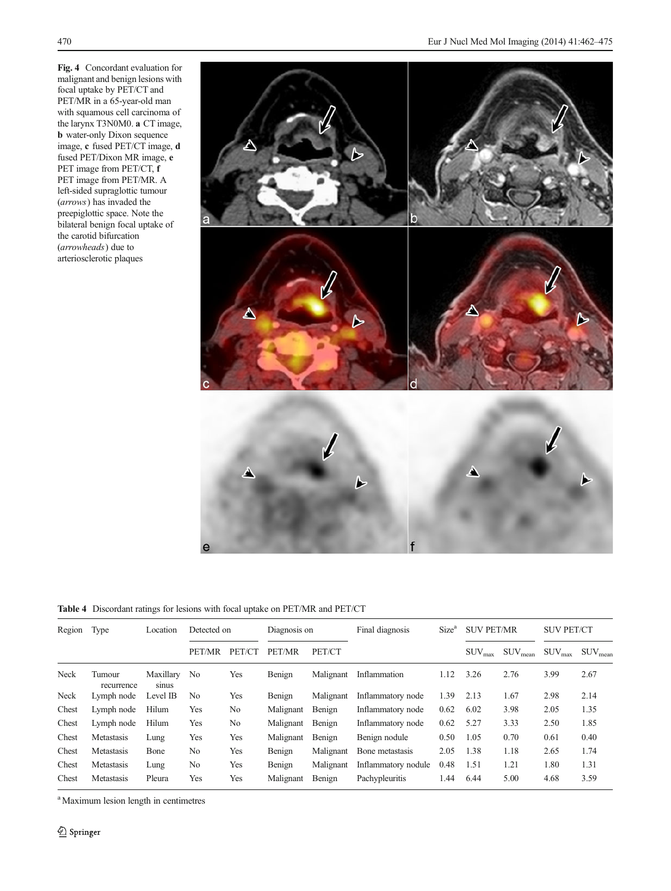Fig. 4 Concordant evaluation for malignant and benign lesions with focal uptake by PET/CT and PET/MR in a 65-year-old man with squamous cell carcinoma of the larynx T3N0M0. a CT image, b water-only Dixon sequence image, c fused PET/CT image, d fused PET/Dixon MR image, e PET image from PET/CT, **f** PET image from PET/MR. A left-sided supraglottic tumour (arrows) has invaded the preepiglottic space. Note the bilateral benign focal uptake of the carotid bifurcation (arrowheads) due to arteriosclerotic plaques

<span id="page-8-0"></span>

Table 4 Discordant ratings for lesions with focal uptake on PET/MR and PET/CT

| Region | Type                 | Location           | Detected on    | Diagnosis on |           |           | Final diagnosis     | Size <sup>a</sup> | <b>SUV PET/MR</b> |                   | <b>SUV PET/CT</b>         |                   |
|--------|----------------------|--------------------|----------------|--------------|-----------|-----------|---------------------|-------------------|-------------------|-------------------|---------------------------|-------------------|
|        |                      |                    | PET/MR         | PET/CT       | PET/MR    | PET/CT    |                     |                   | $\rm{SUV}_{max}$  | $\rm{SUV}_{mean}$ | $\text{SUV}_{\text{max}}$ | $\rm{SUV}_{mean}$ |
| Neck   | Tumour<br>recurrence | Maxillary<br>sinus | N <sub>0</sub> | Yes          | Benign    | Malignant | Inflammation        | 1.12              | 3.26              | 2.76              | 3.99                      | 2.67              |
| Neck   | Lymph node           | Level IB           | No             | Yes          | Benign    | Malignant | Inflammatory node   | 1.39              | 2.13              | 1.67              | 2.98                      | 2.14              |
| Chest  | Lymph node           | Hilum              | Yes            | No           | Malignant | Benign    | Inflammatory node   | 0.62              | 6.02              | 3.98              | 2.05                      | 1.35              |
| Chest  | Lymph node           | Hilum              | Yes            | No           | Malignant | Benign    | Inflammatory node   | 0.62              | 5.27              | 3.33              | 2.50                      | 1.85              |
| Chest  | Metastasis           | Lung               | Yes            | Yes          | Malignant | Benign    | Benign nodule       | 0.50              | 1.05              | 0.70              | 0.61                      | 0.40              |
| Chest  | Metastasis           | Bone               | No             | Yes          | Benign    | Malignant | Bone metastasis     | 2.05              | 1.38              | 1.18              | 2.65                      | 1.74              |
| Chest  | Metastasis           | Lung               | No             | Yes          | Benign    | Malignant | Inflammatory nodule | 0.48              | 1.51              | 1.21              | 1.80                      | 1.31              |
| Chest  | Metastasis           | Pleura             | Yes            | Yes          | Malignant | Benign    | Pachypleuritis      | 1.44              | 6.44              | 5.00              | 4.68                      | 3.59              |

<sup>a</sup> Maximum lesion length in centimetres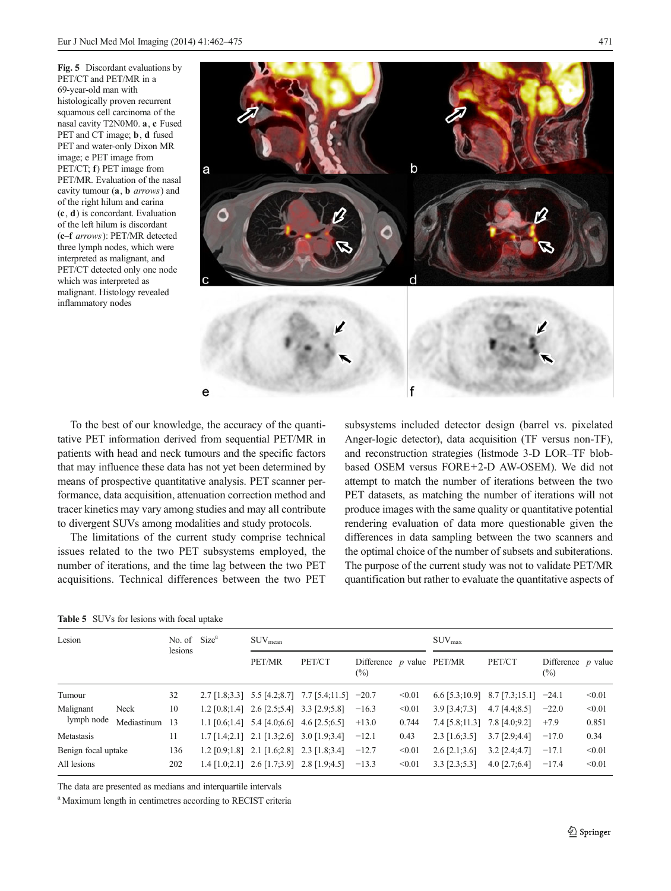<span id="page-9-0"></span>Fig. 5 Discordant evaluations by PET/CT and PET/MR in a 69-year-old man with histologically proven recurrent squamous cell carcinoma of the nasal cavity T2N0M0. a, c Fused PET and CT image; **b**, **d** fused PET and water-only Dixon MR image; e PET image from PET/CT; f) PET image from PET/MR. Evaluation of the nasal cavity tumour (a, b arrows) and of the right hilum and carina (c, d) is concordant. Evaluation of the left hilum is discordant (c–f arrows): PET/MR detected three lymph nodes, which were interpreted as malignant, and PET/CT detected only one node which was interpreted as malignant. Histology revealed inflammatory nodes



To the best of our knowledge, the accuracy of the quantitative PET information derived from sequential PET/MR in patients with head and neck tumours and the specific factors that may influence these data has not yet been determined by means of prospective quantitative analysis. PET scanner performance, data acquisition, attenuation correction method and tracer kinetics may vary among studies and may all contribute to divergent SUVs among modalities and study protocols.

The limitations of the current study comprise technical issues related to the two PET subsystems employed, the number of iterations, and the time lag between the two PET acquisitions. Technical differences between the two PET subsystems included detector design (barrel vs. pixelated Anger-logic detector), data acquisition (TF versus non-TF), and reconstruction strategies (listmode 3-D LOR–TF blobbased OSEM versus FORE+2-D AW-OSEM). We did not attempt to match the number of iterations between the two PET datasets, as matching the number of iterations will not produce images with the same quality or quantitative potential rendering evaluation of data more questionable given the differences in data sampling between the two scanners and the optimal choice of the number of subsets and subiterations. The purpose of the current study was not to validate PET/MR quantification but rather to evaluate the quantitative aspects of

| <b>Table 5</b> SUVs for lesions with focal uptake |  |  |  |  |  |  |  |
|---------------------------------------------------|--|--|--|--|--|--|--|
|---------------------------------------------------|--|--|--|--|--|--|--|

| Lesion              |             |     | No. of $Sizea$<br>lesions | $\text{SUV}_{\text{mean}}$                      |                                                        |                                               |        | $\text{SUV}_{\text{max}}$ |                                           |                                        |        |
|---------------------|-------------|-----|---------------------------|-------------------------------------------------|--------------------------------------------------------|-----------------------------------------------|--------|---------------------------|-------------------------------------------|----------------------------------------|--------|
|                     |             |     |                           | PET/MR                                          | PET/CT                                                 | Difference $p$ value PET/MR<br>$\binom{0}{0}$ |        |                           | PET/CT                                    | Difference $p$ value<br>$\binom{0}{0}$ |        |
| Tumour              |             | 32  |                           |                                                 | 2.7 $[1.8;3.3]$ 5.5 $[4.2;8.7]$ 7.7 $[5.4;11.5]$ -20.7 |                                               | < 0.01 |                           | $6.6$ [5.3;10.9] $8.7$ [7.3;15.1] $-24.1$ |                                        | < 0.01 |
| Malignant           | Neck        | 10  |                           |                                                 | 1.2 $[0.8;1.4]$ 2.6 $[2.5;5.4]$ 3.3 $[2.9;5.8]$        | $-16.3$                                       | < 0.01 | $3.9$ [ $3.4;7.3$ ]       | $4.7$ [4.4;8.5]                           | $-22.0$                                | < 0.01 |
| lymph node          | Mediastinum | 13  |                           | 1.1 $[0.6;1.4]$ 5.4 $[4.0;6.6]$ 4.6 $[2.5;6.5]$ |                                                        | $+13.0$                                       | 0.744  | $7.4$ [5.8;11.3]          | 7.8 [4.0;9.2]                             | $+7.9$                                 | 0.851  |
| Metastasis          |             | 11  |                           |                                                 | $1.7$ [1.4;2.1] 2.1 [1.3;2.6] 3.0 [1.9;3.4]            | $-12.1$                                       | 0.43   | $2.3$ [1.6;3.5]           | $3.7$ [2.9;4.4]                           | $-17.0$                                | 0.34   |
| Benign focal uptake |             | 136 |                           |                                                 | $1.2$ [0.9;1.8] $2.1$ [1.6;2.8] $2.3$ [1.8;3.4]        | $-12.7$                                       | < 0.01 | $2.6$ [ $2.1$ ; $3.6$ ]   | $3.2$ [2.4;4.7]                           | $-17.1$                                | < 0.01 |
| All lesions         |             | 202 |                           |                                                 | $1.4$ [1.0;2.1] 2.6 [1.7;3.9] 2.8 [1.9;4.5]            | $-13.3$                                       | < 0.01 | $3.3$ [2.3;5.3]           | $4.0$ [2.7;6.4]                           | $-17.4$                                | < 0.01 |

The data are presented as medians and interquartile intervals

<sup>a</sup> Maximum length in centimetres according to RECIST criteria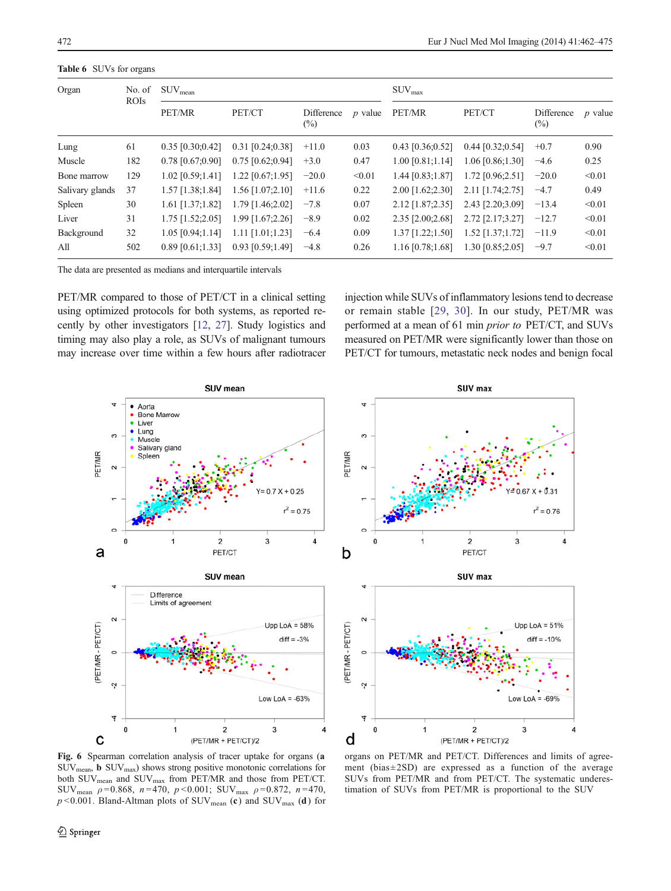| Organ           | No. of<br><b>ROIS</b> | $\rm{SUV}_{mean}$          |                      |                      | $\text{SUV}_{\text{max}}$ |                      |                    |                      |                |
|-----------------|-----------------------|----------------------------|----------------------|----------------------|---------------------------|----------------------|--------------------|----------------------|----------------|
|                 |                       | PET/MR                     | PET/CT               | Difference<br>$(\%)$ | $p$ value                 | PET/MR               | PET/CT             | Difference<br>$(\%)$ | <i>p</i> value |
| Lung            | 61                    | $0.35$ [0.30;0.42]         | $0.31$ [0.24;0.38]   | $+11.0$              | 0.03                      | $0.43$ [0.36;0.52]   | $0.44$ [0.32;0.54] | $+0.7$               | 0.90           |
| Muscle          | 182                   | $0.78$ [0.67;0.90]         | $0.75$ [0.62;0.94]   | $+3.0$               | 0.47                      | $1.00$ [0.81;1.14]   | $1.06$ [0.86;1.30] | $-4.6$               | 0.25           |
| Bone marrow     | 129                   | $1.02$ [0.59;1.41]         | $1.22$ [0.67;1.95]   | $-20.0$              | < 0.01                    | 1.44 [0.83;1.87]     | 1.72 [0.96;2.51]   | $-20.0$              | < 0.01         |
| Salivary glands | 37                    | $1.57$ [ $1.38$ ; $1.84$ ] | $1.56$ [1.07;2.10]   | $+11.6$              | 0.22                      | 2.00 [1.62;2.30]     | $2.11$ [1.74;2.75] | $-4.7$               | 0.49           |
| Spleen          | 30                    | $1.61$ [1.37;1.82]         | 1.79 [1.46;2.02]     | $-7.8$               | 0.07                      | 2.12 [1.87;2.35]     | 2.43 [2.20;3.09]   | $-13.4$              | < 0.01         |
| Liver           | 31                    | $1.75$ [1.52;2.05]         | 1.99 [1.67;2.26]     | $-8.9$               | 0.02                      | 2.35 [2.00:2.68]     | 2.72 [2.17;3.27]   | $-12.7$              | < 0.01         |
| Background      | 32                    | $1.05$ [0.94;1.14]         | $1.11$ $[1.01;1.23]$ | $-6.4$               | 0.09                      | $1.37$ $[1.22;1.50]$ | $1.52$ [1.37;1.72] | $-11.9$              | < 0.01         |
| All             | 502                   | $0.89$ [0.61;1.33]         | $0.93$ [0.59;1.49]   | $-4.8$               | 0.26                      | 1.16 [0.78;1.68]     | 1.30 [0.85;2.05]   | $-9.7$               | < 0.01         |

<span id="page-10-0"></span>Table 6 SUVs for organs

The data are presented as medians and interquartile intervals

PET/MR compared to those of PET/CT in a clinical setting using optimized protocols for both systems, as reported recently by other investigators [[12,](#page-13-0) [27](#page-13-0)]. Study logistics and timing may also play a role, as SUVs of malignant tumours may increase over time within a few hours after radiotracer injection while SUVs of inflammatory lesions tend to decrease or remain stable [[29](#page-13-0), [30](#page-13-0)]. In our study, PET/MR was performed at a mean of 61 min prior to PET/CT, and SUVs measured on PET/MR were significantly lower than those on PET/CT for tumours, metastatic neck nodes and benign focal





Fig. 6 Spearman correlation analysis of tracer uptake for organs (a SUVmean, b SUVmax) shows strong positive monotonic correlations for both  $\mathrm{SUV}_{\mathrm{mean}}$  and  $\mathrm{SUV}_{\mathrm{max}}$  from PET/MR and those from PET/CT. SUV<sub>mean</sub>  $\rho = 0.868$ ,  $n = 470$ ,  $p < 0.001$ ; SUV<sub>max</sub>  $\rho = 0.872$ ,  $n = 470$ ,  $p$ <0.001. Bland-Altman plots of SUV<sub>mean</sub> (c) and SUV<sub>max</sub> (d) for

organs on PET/MR and PET/CT. Differences and limits of agreement (bias±2SD) are expressed as a function of the average SUVs from PET/MR and from PET/CT. The systematic underestimation of SUVs from PET/MR is proportional to the SUV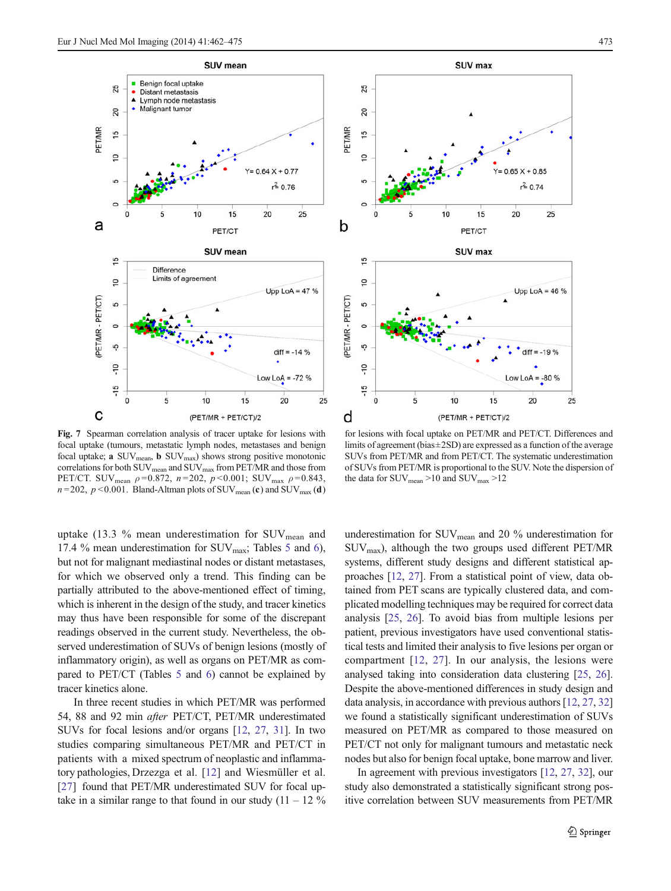

Fig. 7 Spearman correlation analysis of tracer uptake for lesions with focal uptake (tumours, metastatic lymph nodes, metastases and benign focal uptake; **a**  $\text{SUV}_{\text{mean}}$ , **b**  $\text{SUV}_{\text{max}}$ ) shows strong positive monotonic correlations for both  $\text{SUV}_{\text{mean}}$  and  $\text{SUV}_{\text{max}}$  from  $\text{PET}/\text{MR}$  and those from PET/CT. SUV<sub>mean</sub>  $\rho = 0.872$ ,  $n = 202$ ,  $p < 0.001$ ; SUV<sub>max</sub>  $\rho = 0.843$ ,  $n = 202$ ,  $p < 0.001$ . Bland-Altman plots of SUV<sub>mean</sub> (c) and SUV<sub>max</sub> (d)

uptake (13.3  $%$  mean underestimation for SUV<sub>mean</sub> and 17.4 % mean underestimation for  $\text{SUV}_{\text{max}}$ ; Tables [5](#page-9-0) and [6\)](#page-10-0), but not for malignant mediastinal nodes or distant metastases, for which we observed only a trend. This finding can be partially attributed to the above-mentioned effect of timing, which is inherent in the design of the study, and tracer kinetics may thus have been responsible for some of the discrepant readings observed in the current study. Nevertheless, the observed underestimation of SUVs of benign lesions (mostly of inflammatory origin), as well as organs on PET/MR as compared to PET/CT (Tables [5](#page-9-0) and [6\)](#page-10-0) cannot be explained by tracer kinetics alone.

In three recent studies in which PET/MR was performed 54, 88 and 92 min after PET/CT, PET/MR underestimated SUVs for focal lesions and/or organs [\[12,](#page-13-0) [27](#page-13-0), [31\]](#page-13-0). In two studies comparing simultaneous PET/MR and PET/CT in patients with a mixed spectrum of neoplastic and inflammatory pathologies, Drzezga et al. [\[12\]](#page-13-0) and Wiesmüller et al. [\[27\]](#page-13-0) found that PET/MR underestimated SUV for focal uptake in a similar range to that found in our study  $(11 - 12\%)$ 

<span id="page-11-0"></span>

for lesions with focal uptake on PET/MR and PET/CT. Differences and limits of agreement (bias±2SD) are expressed as a function of the average SUVs from PET/MR and from PET/CT. The systematic underestimation of SUVs from PET/MR is proportional to the SUV. Note the dispersion of the data for  $\text{SUV}_{\text{mean}} > 10$  and  $\text{SUV}_{\text{max}} > 12$ 

underestimation for SUV<sub>mean</sub> and 20 % underestimation for  $\text{SUV}_{\text{max}}$ ), although the two groups used different PET/MR systems, different study designs and different statistical approaches [\[12,](#page-13-0) [27](#page-13-0)]. From a statistical point of view, data obtained from PET scans are typically clustered data, and complicated modelling techniques may be required for correct data analysis [[25,](#page-13-0) [26](#page-13-0)]. To avoid bias from multiple lesions per patient, previous investigators have used conventional statistical tests and limited their analysis to five lesions per organ or compartment [\[12](#page-13-0), [27\]](#page-13-0). In our analysis, the lesions were analysed taking into consideration data clustering [[25](#page-13-0), [26\]](#page-13-0). Despite the above-mentioned differences in study design and data analysis, in accordance with previous authors [[12,](#page-13-0) [27,](#page-13-0) [32](#page-13-0)] we found a statistically significant underestimation of SUVs measured on PET/MR as compared to those measured on PET/CT not only for malignant tumours and metastatic neck nodes but also for benign focal uptake, bone marrow and liver.

In agreement with previous investigators [\[12,](#page-13-0) [27,](#page-13-0) [32\]](#page-13-0), our study also demonstrated a statistically significant strong positive correlation between SUV measurements from PET/MR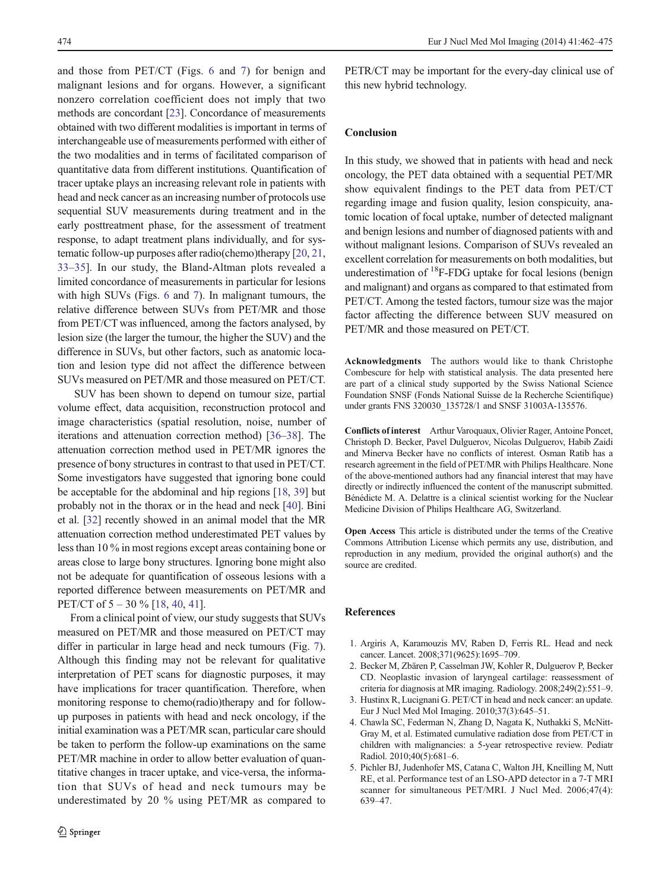<span id="page-12-0"></span>and those from PET/CT (Figs. [6](#page-10-0) and [7\)](#page-11-0) for benign and malignant lesions and for organs. However, a significant nonzero correlation coefficient does not imply that two methods are concordant [\[23](#page-13-0)]. Concordance of measurements obtained with two different modalities is important in terms of interchangeable use of measurements performed with either of the two modalities and in terms of facilitated comparison of quantitative data from different institutions. Quantification of tracer uptake plays an increasing relevant role in patients with head and neck cancer as an increasing number of protocols use sequential SUV measurements during treatment and in the early posttreatment phase, for the assessment of treatment response, to adapt treatment plans individually, and for systematic follow-up purposes after radio(chemo)therapy [[20,](#page-13-0) [21,](#page-13-0) [33](#page-13-0)–[35](#page-13-0)]. In our study, the Bland-Altman plots revealed a limited concordance of measurements in particular for lesions with high SUVs (Figs. [6](#page-10-0) and [7](#page-11-0)). In malignant tumours, the relative difference between SUVs from PET/MR and those from PET/CT was influenced, among the factors analysed, by lesion size (the larger the tumour, the higher the SUV) and the difference in SUVs, but other factors, such as anatomic location and lesion type did not affect the difference between SUVs measured on PET/MR and those measured on PET/CT.

SUV has been shown to depend on tumour size, partial volume effect, data acquisition, reconstruction protocol and image characteristics (spatial resolution, noise, number of iterations and attenuation correction method) [[36](#page-13-0)–[38](#page-13-0)]. The attenuation correction method used in PET/MR ignores the presence of bony structures in contrast to that used in PET/CT. Some investigators have suggested that ignoring bone could be acceptable for the abdominal and hip regions [[18,](#page-13-0) [39\]](#page-13-0) but probably not in the thorax or in the head and neck [\[40](#page-13-0)]. Bini et al. [\[32\]](#page-13-0) recently showed in an animal model that the MR attenuation correction method underestimated PET values by less than 10 % in most regions except areas containing bone or areas close to large bony structures. Ignoring bone might also not be adequate for quantification of osseous lesions with a reported difference between measurements on PET/MR and PET/CT of 5 – 30 % [[18,](#page-13-0) [40](#page-13-0), [41](#page-13-0)].

From a clinical point of view, our study suggests that SUVs measured on PET/MR and those measured on PET/CT may differ in particular in large head and neck tumours (Fig. [7\)](#page-11-0). Although this finding may not be relevant for qualitative interpretation of PET scans for diagnostic purposes, it may have implications for tracer quantification. Therefore, when monitoring response to chemo(radio)therapy and for followup purposes in patients with head and neck oncology, if the initial examination was a PET/MR scan, particular care should be taken to perform the follow-up examinations on the same PET/MR machine in order to allow better evaluation of quantitative changes in tracer uptake, and vice-versa, the information that SUVs of head and neck tumours may be underestimated by 20 % using PET/MR as compared to PETR/CT may be important for the every-day clinical use of this new hybrid technology.

## Conclusion

In this study, we showed that in patients with head and neck oncology, the PET data obtained with a sequential PET/MR show equivalent findings to the PET data from PET/CT regarding image and fusion quality, lesion conspicuity, anatomic location of focal uptake, number of detected malignant and benign lesions and number of diagnosed patients with and without malignant lesions. Comparison of SUVs revealed an excellent correlation for measurements on both modalities, but underestimation of  ${}^{18}$ F-FDG uptake for focal lesions (benign and malignant) and organs as compared to that estimated from PET/CT. Among the tested factors, tumour size was the major factor affecting the difference between SUV measured on PET/MR and those measured on PET/CT.

Acknowledgments The authors would like to thank Christophe Combescure for help with statistical analysis. The data presented here are part of a clinical study supported by the Swiss National Science Foundation SNSF (Fonds National Suisse de la Recherche Scientifique) under grants FNS 320030\_135728/1 and SNSF 31003A-135576.

Conflicts of interest Arthur Varoquaux, Olivier Rager, Antoine Poncet, Christoph D. Becker, Pavel Dulguerov, Nicolas Dulguerov, Habib Zaidi and Minerva Becker have no conflicts of interest. Osman Ratib has a research agreement in the field of PET/MR with Philips Healthcare. None of the above-mentioned authors had any financial interest that may have directly or indirectly influenced the content of the manuscript submitted. Bénédicte M. A. Delattre is a clinical scientist working for the Nuclear Medicine Division of Philips Healthcare AG, Switzerland.

Open Access This article is distributed under the terms of the Creative Commons Attribution License which permits any use, distribution, and reproduction in any medium, provided the original author(s) and the source are credited.

#### References

- 1. Argiris A, Karamouzis MV, Raben D, Ferris RL. Head and neck cancer. Lancet. 2008;371(9625):1695–709.
- 2. Becker M, Zbären P, Casselman JW, Kohler R, Dulguerov P, Becker CD. Neoplastic invasion of laryngeal cartilage: reassessment of criteria for diagnosis at MR imaging. Radiology. 2008;249(2):551–9.
- 3. Hustinx R, Lucignani G. PET/CT in head and neck cancer: an update. Eur J Nucl Med Mol Imaging. 2010;37(3):645–51.
- 4. Chawla SC, Federman N, Zhang D, Nagata K, Nuthakki S, McNitt-Gray M, et al. Estimated cumulative radiation dose from PET/CT in children with malignancies: a 5-year retrospective review. Pediatr Radiol. 2010;40(5):681–6.
- 5. Pichler BJ, Judenhofer MS, Catana C, Walton JH, Kneilling M, Nutt RE, et al. Performance test of an LSO-APD detector in a 7-T MRI scanner for simultaneous PET/MRI. J Nucl Med. 2006;47(4): 639–47.